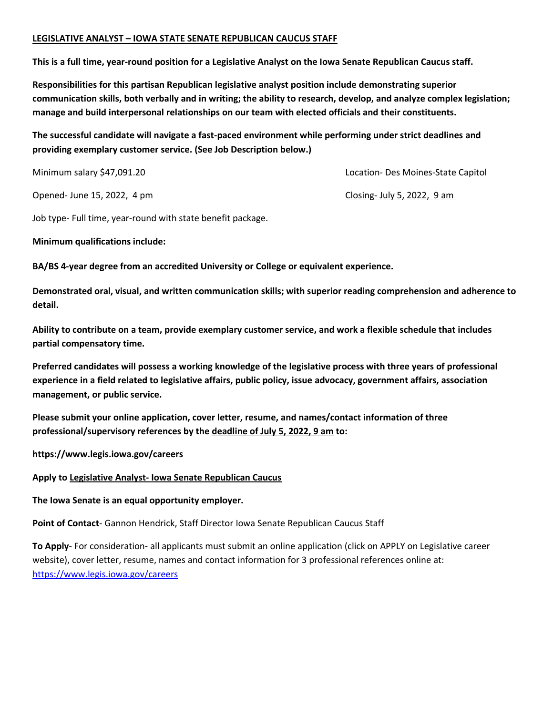#### **LEGISLATIVE ANALYST – IOWA STATE SENATE REPUBLICAN CAUCUS STAFF**

**This is a full time, year-round position for a Legislative Analyst on the Iowa Senate Republican Caucus staff.** 

**Responsibilities for this partisan Republican legislative analyst position include demonstrating superior communication skills, both verbally and in writing; the ability to research, develop, and analyze complex legislation; manage and build interpersonal relationships on our team with elected officials and their constituents.** 

**The successful candidate will navigate a fast-paced environment while performing under strict deadlines and providing exemplary customer service. (See Job Description below.)** 

Minimum salary \$47,091.20 Location- Des Moines-State Capitol

Opened- June 15, 2022, 4 pm Closing- July 5, 2022, 9 am

Job type- Full time, year-round with state benefit package.

**Minimum qualifications include:** 

**BA/BS 4-year degree from an accredited University or College or equivalent experience.** 

**Demonstrated oral, visual, and written communication skills; with superior reading comprehension and adherence to detail.** 

**Ability to contribute on a team, provide exemplary customer service, and work a flexible schedule that includes partial compensatory time.** 

**Preferred candidates will possess a working knowledge of the legislative process with three years of professional experience in a field related to legislative affairs, public policy, issue advocacy, government affairs, association management, or public service.** 

**Please submit your online application, cover letter, resume, and names/contact information of three professional/supervisory references by the deadline of July 5, 2022, 9 am to:**

**https://www.legis.iowa.gov/careers** 

**Apply to Legislative Analyst- Iowa Senate Republican Caucus** 

### **The Iowa Senate is an equal opportunity employer.**

**Point of Contact**- Gannon Hendrick, Staff Director Iowa Senate Republican Caucus Staff

**To Apply**- For consideration- all applicants must submit an online application (click on APPLY on Legislative career website), cover letter, resume, names and contact information for 3 professional references online at: <https://www.legis.iowa.gov/careers>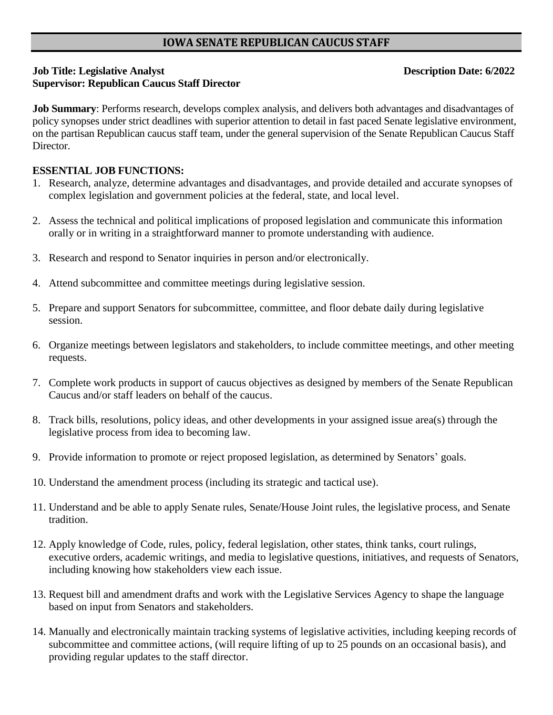# **IOWA SENATE REPUBLICAN CAUCUS STAFF**

# **Job Title: Legislative Analyst Conservation Date: 6/2022 Supervisor: Republican Caucus Staff Director**

**Job Summary**: Performs research, develops complex analysis, and delivers both advantages and disadvantages of policy synopses under strict deadlines with superior attention to detail in fast paced Senate legislative environment, on the partisan Republican caucus staff team, under the general supervision of the Senate Republican Caucus Staff Director.

## **ESSENTIAL JOB FUNCTIONS:**

- 1. Research, analyze, determine advantages and disadvantages, and provide detailed and accurate synopses of complex legislation and government policies at the federal, state, and local level.
- 2. Assess the technical and political implications of proposed legislation and communicate this information orally or in writing in a straightforward manner to promote understanding with audience.
- 3. Research and respond to Senator inquiries in person and/or electronically.
- 4. Attend subcommittee and committee meetings during legislative session.
- 5. Prepare and support Senators for subcommittee, committee, and floor debate daily during legislative session.
- 6. Organize meetings between legislators and stakeholders, to include committee meetings, and other meeting requests.
- 7. Complete work products in support of caucus objectives as designed by members of the Senate Republican Caucus and/or staff leaders on behalf of the caucus.
- 8. Track bills, resolutions, policy ideas, and other developments in your assigned issue area(s) through the legislative process from idea to becoming law.
- 9. Provide information to promote or reject proposed legislation, as determined by Senators' goals.
- 10. Understand the amendment process (including its strategic and tactical use).
- 11. Understand and be able to apply Senate rules, Senate/House Joint rules, the legislative process, and Senate tradition.
- 12. Apply knowledge of Code, rules, policy, federal legislation, other states, think tanks, court rulings, executive orders, academic writings, and media to legislative questions, initiatives, and requests of Senators, including knowing how stakeholders view each issue.
- 13. Request bill and amendment drafts and work with the Legislative Services Agency to shape the language based on input from Senators and stakeholders.
- 14. Manually and electronically maintain tracking systems of legislative activities, including keeping records of subcommittee and committee actions, (will require lifting of up to 25 pounds on an occasional basis), and providing regular updates to the staff director.